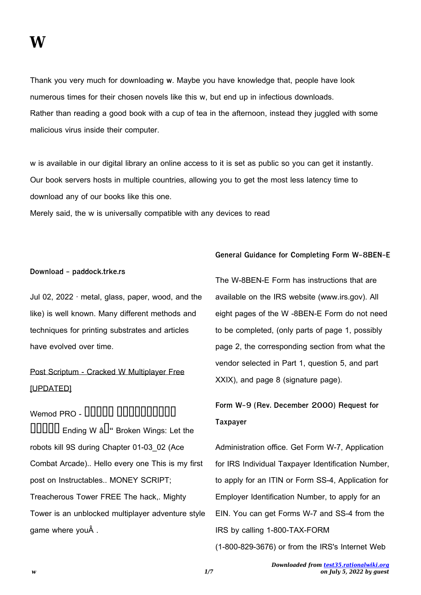Thank you very much for downloading **w**. Maybe you have knowledge that, people have look numerous times for their chosen novels like this w, but end up in infectious downloads. Rather than reading a good book with a cup of tea in the afternoon, instead they juggled with some malicious virus inside their computer.

w is available in our digital library an online access to it is set as public so you can get it instantly. Our book servers hosts in multiple countries, allowing you to get the most less latency time to download any of our books like this one.

Merely said, the w is universally compatible with any devices to read

# **Download - paddock.trke.rs**

Jul 02, 2022 · metal, glass, paper, wood, and the like) is well known. Many different methods and techniques for printing substrates and articles have evolved over time.

# Post Scriptum - Cracked W Multiplayer Free [UPDATED]

Wemod PRO - копия неактивной  $\Box$  $\Box$  $\Box$  $\Box$  Ending W  $\land$   $\Box$ <sup>"</sup> Broken Wings: Let the robots kill 9S during Chapter 01-03\_02 (Ace Combat Arcade).. Hello every one This is my first post on Instructables.. MONEY SCRIPT; Treacherous Tower FREE The hack,. Mighty Tower is an unblocked multiplayer adventure style game where you $\hat{A}$ .

# **General Guidance for Completing Form W-8BEN-E**

The W-8BEN-E Form has instructions that are available on the IRS website (www.irs.gov). All eight pages of the W -8BEN-E Form do not need to be completed, (only parts of page 1, possibly page 2, the corresponding section from what the vendor selected in Part 1, question 5, and part XXIX), and page 8 (signature page).

# **Form W-9 (Rev. December 2000) Request for Taxpayer**

Administration office. Get Form W-7, Application for IRS Individual Taxpayer Identification Number, to apply for an ITIN or Form SS-4, Application for Employer Identification Number, to apply for an EIN. You can get Forms W-7 and SS-4 from the IRS by calling 1-800-TAX-FORM

(1-800-829-3676) or from the IRS's Internet Web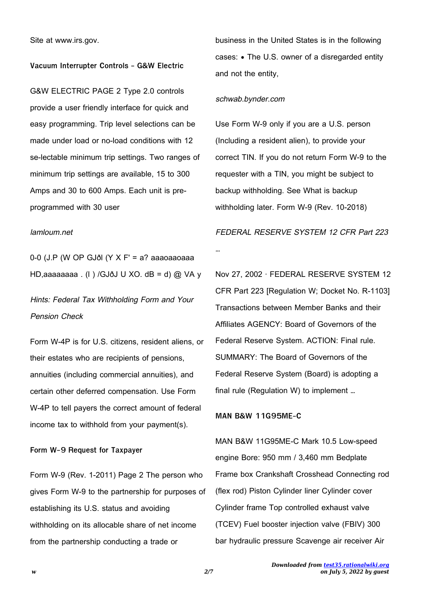## **Vacuum Interrupter Controls - G&W Electric**

G&W ELECTRIC PAGE 2 Type 2.0 controls provide a user friendly interface for quick and easy programming. Trip level selections can be made under load or no-load conditions with 12 se-lectable minimum trip settings. Two ranges of minimum trip settings are available, 15 to 300 Amps and 30 to 600 Amps. Each unit is preprogrammed with 30 user

### lamloum.net

0-0 (J.P (W OP GJðl (Y X F' = a? aaaoaaoaaa HD,aaaaaaaa . (l ) /GJðJ U XO. dB = d) @ VA y

Hints: Federal Tax Withholding Form and Your Pension Check

Form W-4P is for U.S. citizens, resident aliens, or their estates who are recipients of pensions, annuities (including commercial annuities), and certain other deferred compensation. Use Form W-4P to tell payers the correct amount of federal income tax to withhold from your payment(s).

# **Form W-9 Request for Taxpayer**

Form W-9 (Rev. 1-2011) Page 2 The person who gives Form W-9 to the partnership for purposes of establishing its U.S. status and avoiding withholding on its allocable share of net income from the partnership conducting a trade or

business in the United States is in the following cases: • The U.S. owner of a disregarded entity and not the entity,

#### schwab.bynder.com

Use Form W-9 only if you are a U.S. person (Including a resident alien), to provide your correct TIN. If you do not return Form W-9 to the requester with a TIN, you might be subject to backup withholding. See What is backup withholding later. Form W-9 (Rev. 10-2018)

FEDERAL RESERVE SYSTEM 12 CFR Part 223 …

Nov 27, 2002 · FEDERAL RESERVE SYSTEM 12 CFR Part 223 [Regulation W; Docket No. R-1103] Transactions between Member Banks and their Affiliates AGENCY: Board of Governors of the Federal Reserve System. ACTION: Final rule. SUMMARY: The Board of Governors of the Federal Reserve System (Board) is adopting a final rule (Regulation W) to implement …

## **MAN B&W 11G95ME-C**

MAN B&W 11G95ME-C Mark 10.5 Low-speed engine Bore: 950 mm / 3,460 mm Bedplate Frame box Crankshaft Crosshead Connecting rod (flex rod) Piston Cylinder liner Cylinder cover Cylinder frame Top controlled exhaust valve (TCEV) Fuel booster injection valve (FBIV) 300 bar hydraulic pressure Scavenge air receiver Air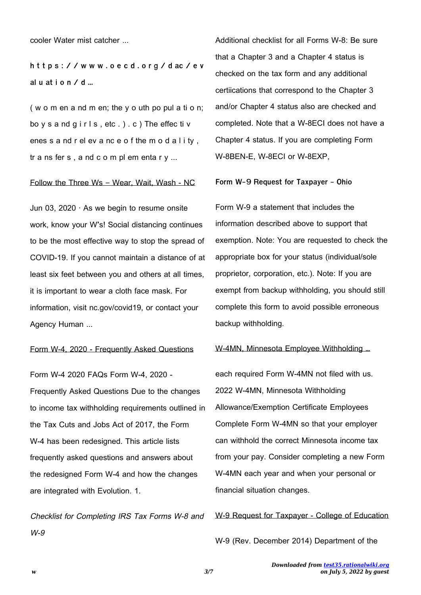cooler Water mist catcher ...

**h t t p s : / / w w w . o e c d . o r g / d ac / e v al u at i o n / d ...**

( w o m en a nd m en; the y o uth po pul a ti o n; bo y s a nd g  $i$  r  $l$  s, etc.). c  $l$  The effec tiv enes s a nd r el ev a nc e o f the m o d a l i ty , tr a ns fer s , a nd c o m pl em enta r y ...

### Follow the Three Ws – Wear, Wait, Wash - NC

Jun 03, 2020 · As we begin to resume onsite work, know your W's! Social distancing continues to be the most effective way to stop the spread of COVID-19. If you cannot maintain a distance of at least six feet between you and others at all times, it is important to wear a cloth face mask. For information, visit nc.gov/covid19, or contact your Agency Human ...

## Form W-4, 2020 - Frequently Asked Questions

Form W-4 2020 FAQs Form W-4, 2020 - Frequently Asked Questions Due to the changes to income tax withholding requirements outlined in the Tax Cuts and Jobs Act of 2017, the Form W-4 has been redesigned. This article lists frequently asked questions and answers about the redesigned Form W-4 and how the changes are integrated with Evolution. 1.

Checklist for Completing IRS Tax Forms W-8 and W-9

Additional checklist for all Forms W-8: Be sure that a Chapter 3 and a Chapter 4 status is checked on the tax form and any additional certiications that correspond to the Chapter 3 and/or Chapter 4 status also are checked and completed. Note that a W-8ECI does not have a Chapter 4 status. If you are completing Form W-8BEN-E, W-8ECI or W-8EXP,

**Form W-9 Request for Taxpayer - Ohio**

Form W-9 a statement that includes the information described above to support that exemption. Note: You are requested to check the appropriate box for your status (individual/sole proprietor, corporation, etc.). Note: If you are exempt from backup withholding, you should still complete this form to avoid possible erroneous backup withholding.

#### W-4MN, Minnesota Employee Withholding …

each required Form W-4MN not filed with us. 2022 W-4MN, Minnesota Withholding Allowance/Exemption Certificate Employees Complete Form W-4MN so that your employer can withhold the correct Minnesota income tax from your pay. Consider completing a new Form W-4MN each year and when your personal or financial situation changes.

# W-9 Request for Taxpayer - College of Education

W-9 (Rev. December 2014) Department of the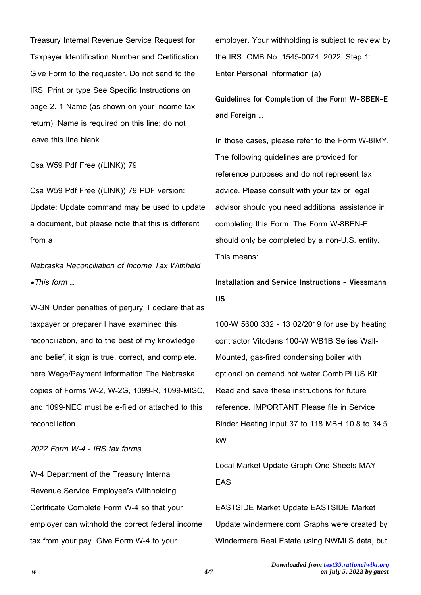Treasury Internal Revenue Service Request for Taxpayer Identification Number and Certification Give Form to the requester. Do not send to the IRS. Print or type See Specific Instructions on page 2. 1 Name (as shown on your income tax return). Name is required on this line; do not leave this line blank.

#### Csa W59 Pdf Free ((LINK)) 79

Csa W59 Pdf Free ((LINK)) 79 PDF version: Update: Update command may be used to update a document, but please note that this is different from a

Nebraska Reconciliation of Income Tax Withheld •This form …

W-3N Under penalties of perjury, I declare that as taxpayer or preparer I have examined this reconciliation, and to the best of my knowledge and belief, it sign is true, correct, and complete. here Wage/Payment Information The Nebraska copies of Forms W-2, W-2G, 1099-R, 1099-MISC, and 1099-NEC must be e-filed or attached to this reconciliation.

# 2022 Form W-4 - IRS tax forms

W-4 Department of the Treasury Internal Revenue Service Employee's Withholding Certificate Complete Form W-4 so that your employer can withhold the correct federal income tax from your pay. Give Form W-4 to your

employer. Your withholding is subject to review by the IRS. OMB No. 1545-0074. 2022. Step 1: Enter Personal Information (a)

**Guidelines for Completion of the Form W-8BEN-E and Foreign …**

In those cases, please refer to the Form W-8IMY. The following guidelines are provided for reference purposes and do not represent tax advice. Please consult with your tax or legal advisor should you need additional assistance in completing this Form. The Form W-8BEN-E should only be completed by a non-U.S. entity. This means:

**Installation and Service Instructions - Viessmann US**

100-W 5600 332 - 13 02/2019 for use by heating contractor Vitodens 100-W WB1B Series Wall-Mounted, gas-fired condensing boiler with optional on demand hot water CombiPLUS Kit Read and save these instructions for future reference. IMPORTANT Please file in Service Binder Heating input 37 to 118 MBH 10.8 to 34.5 kW

Local Market Update Graph One Sheets MAY EAS

EASTSIDE Market Update EASTSIDE Market Update windermere.com Graphs were created by Windermere Real Estate using NWMLS data, but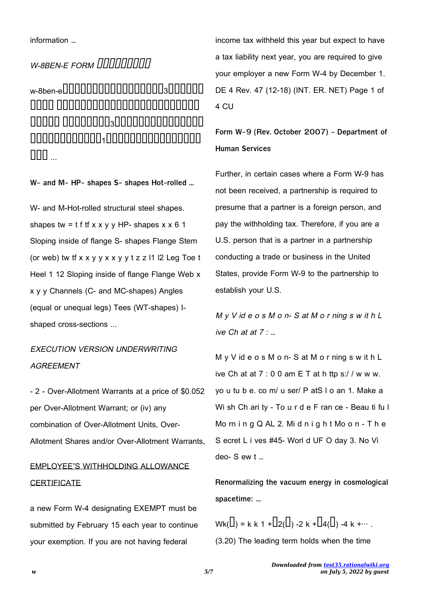# $W$ -8BEN-E FORM  $\Box$

# w-8ben-e<sup></sup> ります。 更新の必要がある場合は、弊社よりご連絡させていた <u>nnnnn nnnnnnnna sonnnnnnnnnnnnnnn</u> 更が生じた場合、お客様は1か月以内に弊社へ最新の情報が記載  $nnn$

**W- and M- HP- shapes S- shapes Hot-rolled …**

W- and M-Hot-rolled structural steel shapes. shapes tw = t f tf x x y y HP- shapes  $x \times 6$  1 Sloping inside of flange S- shapes Flange Stem (or web) tw if  $x \times y \times x \times y \times t \times z$  11 12 Leg Toe t Heel 1 12 Sloping inside of flange Flange Web x x y y Channels (C- and MC-shapes) Angles (equal or unequal legs) Tees (WT-shapes) Ishaped cross-sections ...

# EXECUTION VERSION UNDERWRITING **AGREEMENT**

- 2 - Over-Allotment Warrants at a price of \$0.052 per Over-Allotment Warrant; or (iv) any combination of Over-Allotment Units, Over-Allotment Shares and/or Over-Allotment Warrants,

# EMPLOYEE'S WITHHOLDING ALLOWANCE **CERTIFICATE**

a new Form W-4 designating EXEMPT must be submitted by February 15 each year to continue your exemption. If you are not having federal

income tax withheld this year but expect to have a tax liability next year, you are required to give your employer a new Form W-4 by December 1. DE 4 Rev. 47 (12-18) (INT. ER. NET) Page 1 of 4 CU

**Form W-9 (Rev. October 2007) - Department of Human Services**

Further, in certain cases where a Form W-9 has not been received, a partnership is required to presume that a partner is a foreign person, and pay the withholding tax. Therefore, if you are a U.S. person that is a partner in a partnership conducting a trade or business in the United States, provide Form W-9 to the partnership to establish your U.S.

M y V id e o s M o n- S at M o r ning s w it h L ive Ch at at  $7: ...$ 

M y V id e o s M o n- S at M o r ning s w it h L ive Ch at at  $7:00$  am E T at h ttp s://w w w. yo u tu b e. co m/ u ser/ P atS l o an 1. Make a Wi sh Ch ari ty - To u r d e F ran ce - Beau ti fu l Mo rn i n g Q AL 2. Mi d n i g h t Mo o n - T h e S ecret L i ves #45- Worl d UF O day 3. No Vi deo- S ew t …

**Renormalizing the vacuum energy in cosmological spacetime: …**

 $Wk(\overline{L}) = k k 1 + \overline{L}_{2}(\overline{L}) - 2 k + \overline{L}_{4}(\overline{L}) - 4 k + \cdots$ . (3.20) The leading term holds when the time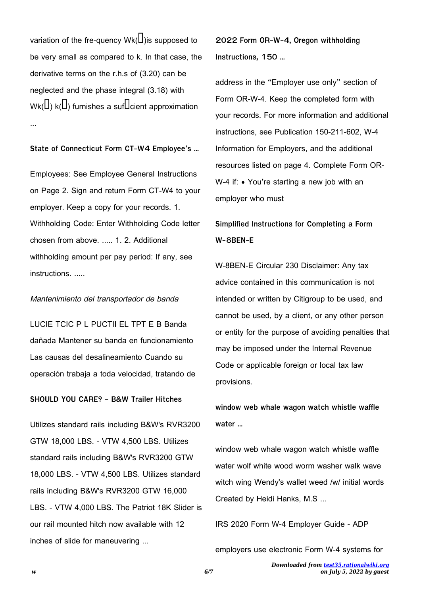variation of the fre-quency Wk( $\Box$ ) is supposed to be very small as compared to k. In that case, the derivative terms on the r.h.s of (3.20) can be neglected and the phase integral (3.18) with  $Wk(\mathsf{L})$  k( $\mathsf{L}$ ) furnishes a suf $\mathsf{L}$ cient approximation ...

### **State of Connecticut Form CT-W4 Employee's …**

Employees: See Employee General Instructions on Page 2. Sign and return Form CT-W4 to your employer. Keep a copy for your records. 1. Withholding Code: Enter Withholding Code letter chosen from above. ..... 1. 2. Additional withholding amount per pay period: If any, see instructions. .....

# Mantenimiento del transportador de banda

LUCIE TCIC P L PUCTII EL TPT E B Banda dañada Mantener su banda en funcionamiento Las causas del desalineamiento Cuando su operación trabaja a toda velocidad, tratando de

# **SHOULD YOU CARE? - B&W Trailer Hitches**

Utilizes standard rails including B&W's RVR3200 GTW 18,000 LBS. - VTW 4,500 LBS. Utilizes standard rails including B&W's RVR3200 GTW 18,000 LBS. - VTW 4,500 LBS. Utilizes standard rails including B&W's RVR3200 GTW 16,000 LBS. - VTW 4,000 LBS. The Patriot 18K Slider is our rail mounted hitch now available with 12 inches of slide for maneuvering ...

**2022 Form OR-W-4, Oregon withholding Instructions, 150 …**

address in the "Employer use only" section of Form OR-W-4. Keep the completed form with your records. For more information and additional instructions, see Publication 150-211-602, W-4 Information for Employers, and the additional resources listed on page 4. Complete Form OR-W-4 if: • You're starting a new job with an employer who must

**Simplified Instructions for Completing a Form W-8BEN-E**

W-8BEN-E Circular 230 Disclaimer: Any tax advice contained in this communication is not intended or written by Citigroup to be used, and cannot be used, by a client, or any other person or entity for the purpose of avoiding penalties that may be imposed under the Internal Revenue Code or applicable foreign or local tax law provisions.

**window web whale wagon watch whistle waffle water …**

window web whale wagon watch whistle waffle water wolf white wood worm washer walk wave witch wing Wendy's wallet weed /w/ initial words Created by Heidi Hanks, M.S ...

### IRS 2020 Form W-4 Employer Guide - ADP

employers use electronic Form W-4 systems for